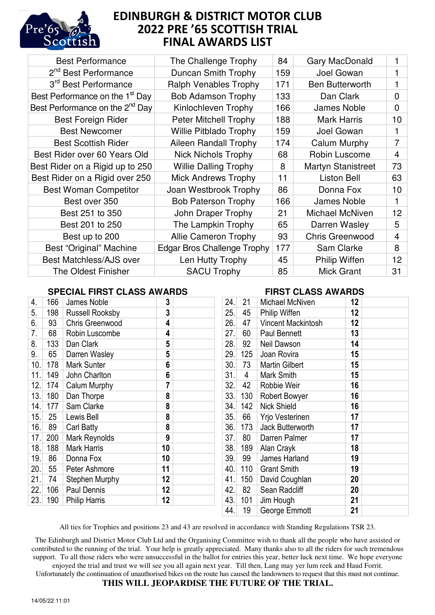

## EDINBURGH & DISTRICT MOTOR CLUB 2022 PRE '65 SCOTTISH TRIAL FINAL AWARDS LIST

| <b>Best Performance</b>                     | The Challenge Trophy               | 84  | Gary MacDonald            |                |
|---------------------------------------------|------------------------------------|-----|---------------------------|----------------|
| 2 <sup>nd</sup> Best Performance            | Duncan Smith Trophy                | 159 | Joel Gowan                |                |
| 3 <sup>rd</sup> Best Performance            | <b>Ralph Venables Trophy</b>       | 171 | Ben Butterworth           |                |
| Best Performance on the 1 <sup>st</sup> Day | <b>Bob Adamson Trophy</b>          | 133 | Dan Clark                 | $\mathbf 0$    |
| Best Performance on the 2 <sup>nd</sup> Day | Kinlochleven Trophy                | 166 | James Noble               | $\mathbf 0$    |
| <b>Best Foreign Rider</b>                   | <b>Peter Mitchell Trophy</b>       | 188 | <b>Mark Harris</b>        | 10             |
| <b>Best Newcomer</b>                        | <b>Willie Pitblado Trophy</b>      | 159 | Joel Gowan                | 1              |
| <b>Best Scottish Rider</b>                  | Aileen Randall Trophy              | 174 | Calum Murphy              | $\overline{7}$ |
| Best Rider over 60 Years Old                | <b>Nick Nichols Trophy</b>         | 68  | Robin Luscome             | $\overline{4}$ |
| Best Rider on a Rigid up to 250             | <b>Willie Dalling Trophy</b>       | 8   | <b>Martyn Stanistreet</b> | 73             |
| Best Rider on a Rigid over 250              | <b>Mick Andrews Trophy</b>         | 11  | <b>Liston Bell</b>        | 63             |
| <b>Best Woman Competitor</b>                | Joan Westbrook Trophy              | 86  | Donna Fox                 | 10             |
| Best over 350                               | <b>Bob Paterson Trophy</b>         | 166 | <b>James Noble</b>        |                |
| Best 251 to 350                             | John Draper Trophy                 | 21  | Michael McNiven           | 12             |
| Best 201 to 250                             | The Lampkin Trophy                 | 65  | Darren Wasley             | 5              |
| Best up to 200                              | <b>Allie Cameron Trophy</b>        | 93  | <b>Chris Greenwood</b>    | $\overline{4}$ |
| Best "Original" Machine                     | <b>Edgar Bros Challenge Trophy</b> | 177 | Sam Clarke                | 8              |
| Best Matchless/AJS over                     | Len Hutty Trophy                   | 45  | Philip Wiffen             | 12             |
| <b>The Oldest Finisher</b>                  | <b>SACU Trophy</b>                 | 85  | <b>Mick Grant</b>         | 31             |
|                                             |                                    |     |                           |                |

## **SPECIAL FIRST CLASS AWARDS**

| 4.   | 166             | James Noble            | 3  |  |
|------|-----------------|------------------------|----|--|
| 5.   | 198             | <b>Russell Rooksby</b> | 3  |  |
| 6.   | 93              | <b>Chris Greenwood</b> | 4  |  |
| 7.   | 68              | Robin Luscombe         | 4  |  |
| 8.   | 133             | Dan Clark              | 5  |  |
| 9.   | 65              | Darren Wasley          | 5  |  |
| 10.  | 178             | <b>Mark Sunter</b>     | 6  |  |
| 11.  | 149             | John Charlton          | 6  |  |
| 12.  | 174             | Calum Murphy           | 7  |  |
| 13.  | 180             | Dan Thorpe             | 8  |  |
| 14.  | 177             | Sam Clarke             | 8  |  |
| 15.  | 25 <sub>2</sub> | Lewis Bell             | 8  |  |
| 16.  | 89              | Carl Batty             | 8  |  |
| 17.  | 200             | <b>Mark Reynolds</b>   | 9  |  |
| 18.  | 188             | <b>Mark Harris</b>     | 10 |  |
| 19.  | 86              | Donna Fox              | 10 |  |
| 20.1 | 55              | Peter Ashmore          | 11 |  |
| 21.  | -74             | <b>Stephen Murphy</b>  | 12 |  |
| 22.  | 106             | Paul Dennis            | 12 |  |
| 23.  | 190             | <b>Philip Harris</b>   | 12 |  |

## **FIRST CLASS AWARDS**

| 24.  | 21             | Michael McNiven           | 12 |  |
|------|----------------|---------------------------|----|--|
| 25.  | 45             | Philip Wiffen             | 12 |  |
| 26.  | 47             | <b>Vincent Mackintosh</b> | 12 |  |
| 27.  | 60             | <b>Paul Bennett</b>       | 13 |  |
| 28.  | 92             | Neil Dawson               | 14 |  |
| 29.  | 125            | Joan Rovira               | 15 |  |
| 30.  | 73             | <b>Martin Gilbert</b>     | 15 |  |
| 31.  | $\overline{4}$ | Mark Smith                | 15 |  |
| 32.  | 42             | Robbie Weir               | 16 |  |
| 33.  | 130            | <b>Robert Bowyer</b>      | 16 |  |
| 34.  | 142            | <b>Nick Shield</b>        | 16 |  |
| 35.  | 66             | Yrjo Vesterinen           | 17 |  |
| 36.∣ | 173            | Jack Butterworth          | 17 |  |
| 37.  | 80             | Darren Palmer             | 17 |  |
| 38.  | 189            | Alan Crayk                | 18 |  |
| 39.  | 99             | James Harland             | 19 |  |
| 40.  | 110            | <b>Grant Smith</b>        | 19 |  |
| 41.  | 150            | David Coughlan            | 20 |  |
| 42.  | 82             | Sean Radcliff             | 20 |  |
| 43.  | 101            | Jim Hough                 | 21 |  |
| 44.  | 19             | George Emmott             | 21 |  |
|      |                |                           |    |  |

All ties for Trophies and positions 23 and 43 are resolved in accordance with Standing Regulations TSR 23.

The Edinburgh and District Motor Club Ltd and the Organising Committee wish to thank all the people who have assisted or contributed to the running of the trial. Your help is greatly appreciated. Many thanks also to all the riders for such tremendous support. To all those riders who were unsuccessful in the ballot for entries this year, better luck next time. We hope everyone enjoyed the trial and trust we will see you all again next year. Till then, Lang may yer lum reek and Haud Forrit.

Unfortunately the continuation of unauthorised bikes on the route has caused the landowners to request that this must not continue.

**THIS WILL JEOPARDISE THE FUTURE OF THE TRIAL.**